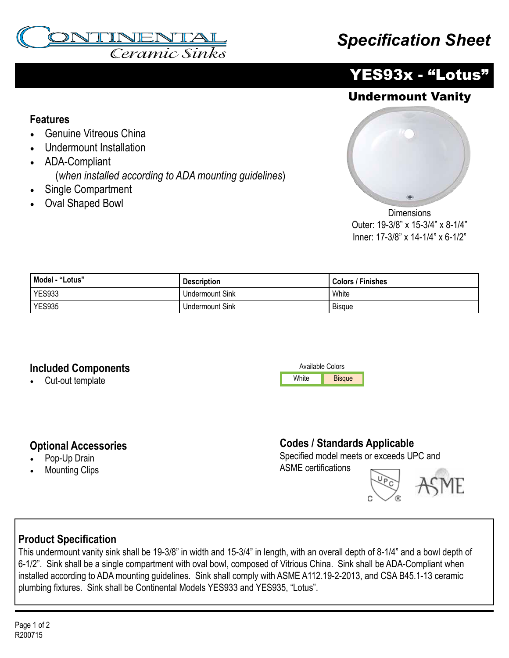

## *Specification Sheet*



### Undermount Vanity

#### **Features**

- Genuine Vitreous China
- Undermount Installation
- ADA-Compliant (*when installed according to ADA mounting guidelines*)
- Single Compartment
- Oval Shaped Bowl



**Dimensions** Outer: 19-3/8" x 15-3/4" x 8-1/4" Inner: 17-3/8" x 14-1/4" x 6-1/2"

| Model - "Lotus" | <b>Description</b>     | <b>Colors / Finishes</b> |
|-----------------|------------------------|--------------------------|
| YES933          | <b>Undermount Sink</b> | White                    |
| <b>YES935</b>   | <b>Undermount Sink</b> | Bisque                   |

#### **Included Components**

• Cut-out template

#### Available Colors White **Bisque**

#### **Optional Accessories**

- Pop-Up Drain
- **Mounting Clips**

#### **Codes / Standards Applicable**

Specified model meets or exceeds UPC and ASME certifications



#### **Product Specification**

This undermount vanity sink shall be 19-3/8" in width and 15-3/4" in length, with an overall depth of 8-1/4" and a bowl depth of 6-1/2". Sink shall be a single compartment with oval bowl, composed of Vitrious China. Sink shall be ADA-Compliant when installed according to ADA mounting guidelines. Sink shall comply with ASME A112.19-2-2013, and CSA B45.1-13 ceramic plumbing fixtures. Sink shall be Continental Models YES933 and YES935, "Lotus".